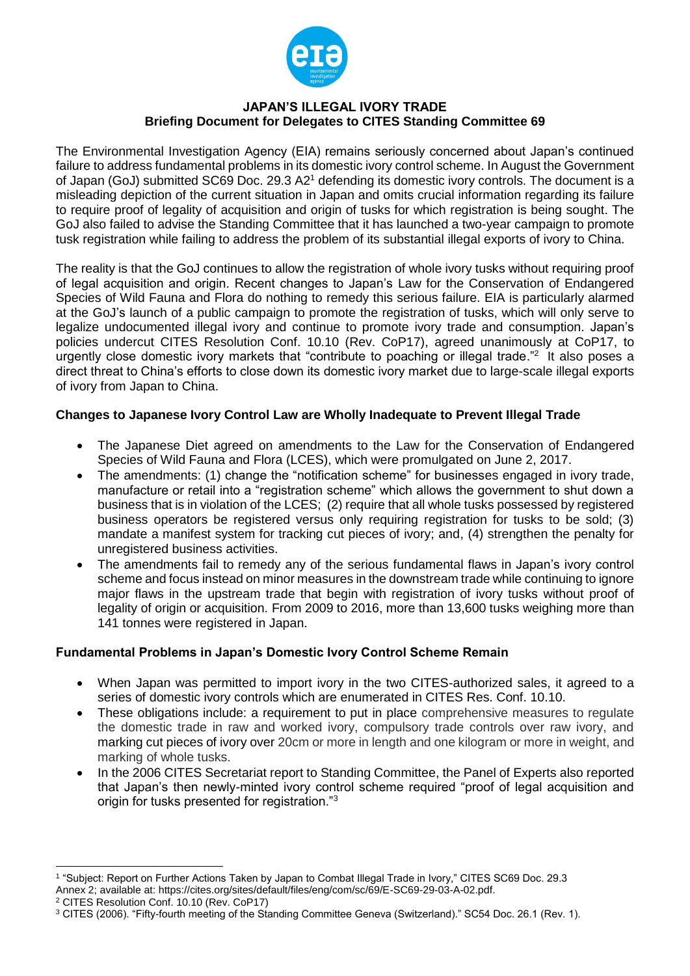

### **JAPAN'S ILLEGAL IVORY TRADE Briefing Document for Delegates to CITES Standing Committee 69**

The Environmental Investigation Agency (EIA) remains seriously concerned about Japan's continued failure to address fundamental problems in its domestic ivory control scheme. In August the Government of Japan (GoJ) submitted SC69 Doc. 29.3 A2<sup>1</sup> defending its domestic ivory controls. The document is a misleading depiction of the current situation in Japan and omits crucial information regarding its failure to require proof of legality of acquisition and origin of tusks for which registration is being sought. The GoJ also failed to advise the Standing Committee that it has launched a two-year campaign to promote tusk registration while failing to address the problem of its substantial illegal exports of ivory to China.

The reality is that the GoJ continues to allow the registration of whole ivory tusks without requiring proof of legal acquisition and origin. Recent changes to Japan's Law for the Conservation of Endangered Species of Wild Fauna and Flora do nothing to remedy this serious failure. EIA is particularly alarmed at the GoJ's launch of a public campaign to promote the registration of tusks, which will only serve to legalize undocumented illegal ivory and continue to promote ivory trade and consumption. Japan's policies undercut CITES Resolution Conf. 10.10 (Rev. CoP17), agreed unanimously at CoP17, to urgently close domestic ivory markets that "contribute to poaching or illegal trade."<sup>2</sup> It also poses a direct threat to China's efforts to close down its domestic ivory market due to large-scale illegal exports of ivory from Japan to China.

### **Changes to Japanese Ivory Control Law are Wholly Inadequate to Prevent Illegal Trade**

- The Japanese Diet agreed on amendments to the Law for the Conservation of Endangered Species of Wild Fauna and Flora (LCES), which were promulgated on June 2, 2017.
- The amendments: (1) change the "notification scheme" for businesses engaged in ivory trade, manufacture or retail into a "registration scheme" which allows the government to shut down a business that is in violation of the LCES; (2) require that all whole tusks possessed by registered business operators be registered versus only requiring registration for tusks to be sold; (3) mandate a manifest system for tracking cut pieces of ivory; and, (4) strengthen the penalty for unregistered business activities.
- The amendments fail to remedy any of the serious fundamental flaws in Japan's ivory control scheme and focus instead on minor measures in the downstream trade while continuing to ignore major flaws in the upstream trade that begin with registration of ivory tusks without proof of legality of origin or acquisition. From 2009 to 2016, more than 13,600 tusks weighing more than 141 tonnes were registered in Japan.

### **Fundamental Problems in Japan's Domestic Ivory Control Scheme Remain**

- When Japan was permitted to import ivory in the two CITES-authorized sales, it agreed to a series of domestic ivory controls which are enumerated in CITES Res. Conf. 10.10.
- These obligations include: a requirement to put in place comprehensive measures to regulate the domestic trade in raw and worked ivory, compulsory trade controls over raw ivory, and marking cut pieces of ivory over 20cm or more in length and one kilogram or more in weight, and marking of whole tusks.
- In the 2006 CITES Secretariat report to Standing Committee, the Panel of Experts also reported that Japan's then newly-minted ivory control scheme required "proof of legal acquisition and origin for tusks presented for registration."<sup>3</sup>

l

<sup>1</sup> "Subject: Report on Further Actions Taken by Japan to Combat Illegal Trade in Ivory," CITES SC69 Doc. 29.3

Annex 2; available at: [https://cites.org/sites/default/files/eng/com/sc/69/E-SC69-29-03-A-02.pdf.](https://cites.org/sites/default/files/eng/com/sc/69/E-SC69-29-03-A-02.pdf)

<sup>2</sup> CITES Resolution Conf. 10.10 (Rev. CoP17)

<sup>3</sup> CITES (2006). "Fifty-fourth meeting of the Standing Committee Geneva (Switzerland)." SC54 Doc. 26.1 (Rev. 1).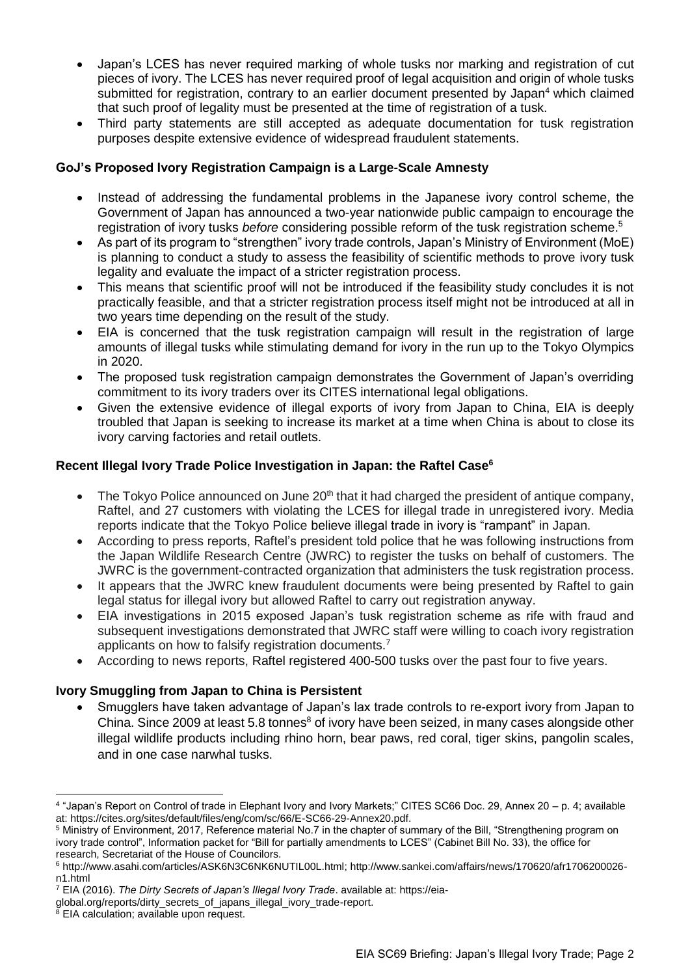- Japan's LCES has never required marking of whole tusks nor marking and registration of cut pieces of ivory. The LCES has never required proof of legal acquisition and origin of whole tusks submitted for registration, contrary to an earlier document presented by Japan<sup>4</sup> which claimed that such proof of legality must be presented at the time of registration of a tusk.
- Third party statements are still accepted as adequate documentation for tusk registration purposes despite extensive evidence of widespread fraudulent statements.

## **GoJ's Proposed Ivory Registration Campaign is a Large-Scale Amnesty**

- Instead of addressing the fundamental problems in the Japanese ivory control scheme, the Government of Japan has announced a two-year nationwide public campaign to encourage the registration of ivory tusks *before* considering possible reform of the tusk registration scheme.<sup>5</sup>
- As part of its program to "strengthen" ivory trade controls, Japan's Ministry of Environment (MoE) is planning to conduct a study to assess the feasibility of scientific methods to prove ivory tusk legality and evaluate the impact of a stricter registration process.
- This means that scientific proof will not be introduced if the feasibility study concludes it is not practically feasible, and that a stricter registration process itself might not be introduced at all in two years time depending on the result of the study.
- EIA is concerned that the tusk registration campaign will result in the registration of large amounts of illegal tusks while stimulating demand for ivory in the run up to the Tokyo Olympics in 2020.
- The proposed tusk registration campaign demonstrates the Government of Japan's overriding commitment to its ivory traders over its CITES international legal obligations.
- Given the extensive evidence of illegal exports of ivory from Japan to China, EIA is deeply troubled that Japan is seeking to increase its market at a time when China is about to close its ivory carving factories and retail outlets.

### **Recent Illegal Ivory Trade Police Investigation in Japan: the Raftel Case<sup>6</sup>**

- The Tokyo Police announced on June 20<sup>th</sup> that it had charged the president of antique company, Raftel, and 27 customers with violating the LCES for illegal trade in unregistered ivory. Media reports indicate that the Tokyo Police believe illegal trade in ivory is "rampant" in Japan.
- According to press reports, Raftel's president told police that he was following instructions from the Japan Wildlife Research Centre (JWRC) to register the tusks on behalf of customers. The JWRC is the government-contracted organization that administers the tusk registration process.
- It appears that the JWRC knew fraudulent documents were being presented by Raftel to gain legal status for illegal ivory but allowed Raftel to carry out registration anyway.
- EIA investigations in 2015 exposed Japan's tusk registration scheme as rife with fraud and subsequent investigations demonstrated that JWRC staff were willing to coach ivory registration applicants on how to falsify registration documents.<sup>7</sup>
- According to news reports, Raftel registered 400-500 tusks over the past four to five years.

# **Ivory Smuggling from Japan to China is Persistent**

 Smugglers have taken advantage of Japan's lax trade controls to re-export ivory from Japan to China. Since 2009 at least 5.8 tonnes<sup>8</sup> of ivory have been seized, in many cases alongside other illegal wildlife products including rhino horn, bear paws, red coral, tiger skins, pangolin scales, and in one case narwhal tusks.

<sup>7</sup> EIA (2016). *The Dirty Secrets of Japan's Illegal Ivory Trade*. available at[: https://eia-](https://eia-global.org/reports/dirty_secrets_of_japans_illegal_ivory_trade-report)

 $\overline{a}$ 

<sup>4</sup> "Japan's Report on Control of trade in Elephant Ivory and Ivory Markets;" CITES SC66 Doc. 29, Annex 20 – p. 4; available at[: https://cites.org/sites/default/files/eng/com/sc/66/E-SC66-29-Annex20.pdf.](https://www.google.com/url?q=https%3A%2F%2Fcites.org%2Fsites%2Fdefault%2Ffiles%2Feng%2Fcom%2Fsc%2F66%2FE-SC66-29-Annex20.pdf&sa=D&sntz=1&usg=AFQjCNGVTUxcCu3dE-7J40s4r7NXlrKQDA)

<sup>5</sup> Ministry of Environment, 2017, Reference material No.7 in the chapter of summary of the Bill, "Strengthening program on ivory trade control", Information packet for "Bill for partially amendments to LCES" (Cabinet Bill No. 33), the office for research, Secretariat of the House of Councilors.

<sup>6</sup> [http://www.asahi.com/articles/ASK6N3C6NK6NUTIL00L.html;](http://www.asahi.com/articles/ASK6N3C6NK6NUTIL00L.html) http://www.sankei.com/affairs/news/170620/afr1706200026 n1.html

[global.org/reports/dirty\\_secrets\\_of\\_japans\\_illegal\\_ivory\\_trade-report.](https://eia-global.org/reports/dirty_secrets_of_japans_illegal_ivory_trade-report)

<sup>&</sup>lt;sup>8</sup> EIA calculation; available upon request.